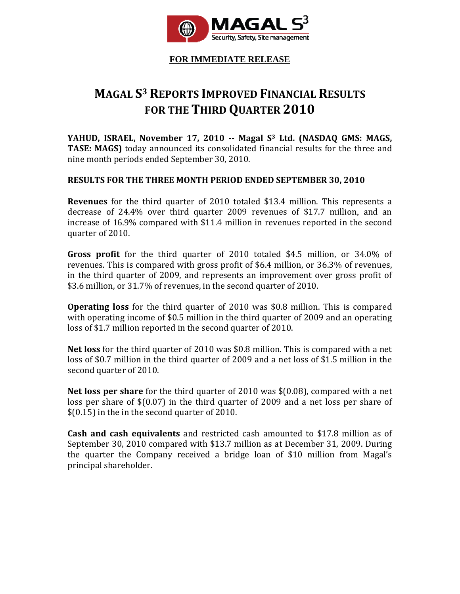

**FOR IMMEDIATE RELEASE**

# **MAGAL S3 REPORTS IMPROVED FINANCIAL RESULTS FOR THE THIRD QUARTER 2010**

**YAHUD, ISRAEL, November 17, 2010 Magal S3 Ltd. (NASDAQ GMS: MAGS, TASE: MAGS)** today announced its consolidated financial results for the three and nine month periods ended September 30, 2010.

## **RESULTS FOR THE THREE MONTH PERIOD ENDED SEPTEMBER 30, 2010**

**Revenues** for the third quarter of 2010 totaled \$13.4 million. This represents a decrease of 24.4% over third quarter 2009 revenues of \$17.7 million, and an increase of 16.9% compared with \$11.4 million in revenues reported in the second quarter of 2010.

**Gross profit** for the third quarter of 2010 totaled \$4.5 million, or 34.0% of revenues. This is compared with gross profit of \$6.4 million, or 36.3% of revenues, in the third quarter of 2009, and represents an improvement over gross profit of \$3.6 million, or 31.7% of revenues, in the second quarter of 2010.

**Operating loss** for the third quarter of 2010 was \$0.8 million. This is compared with operating income of \$0.5 million in the third quarter of 2009 and an operating loss of \$1.7 million reported in the second quarter of 2010.

**Net loss** for the third quarter of 2010 was \$0.8 million. This is compared with a net loss of \$0.7 million in the third quarter of 2009 and a net loss of \$1.5 million in the second quarter of 2010.

**Net loss per share** for the third quarter of 2010 was \$(0.08), compared with a net loss per share of  $$(0.07)$  in the third quarter of 2009 and a net loss per share of \$(0.15) in the in the second quarter of 2010.

**Cash and cash equivalents** and restricted cash amounted to \$17.8 million as of September 30, 2010 compared with \$13.7 million as at December 31, 2009. During the quarter the Company received a bridge loan of \$10 million from Magal's principal shareholder.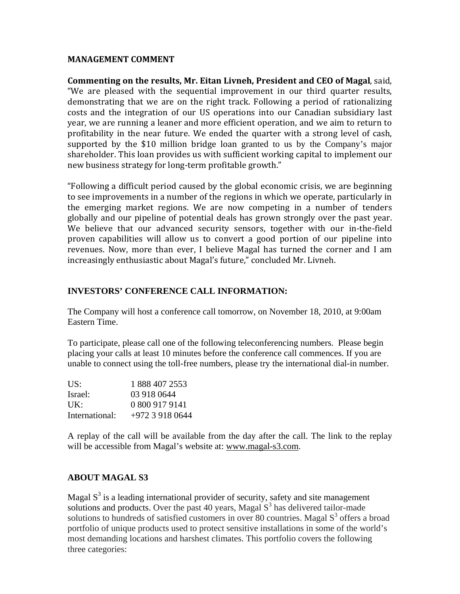### **MANAGEMENT COMMENT**

**Commenting on the results, Mr. Eitan Livneh, President and CEO of Magal**, said, "We are pleased with the sequential improvement in our third quarter results, demonstrating that we are on the right track. Following a period of rationalizing costs and the integration of our US operations into our Canadian subsidiary last year, we are running a leaner and more efficient operation, and we aim to return to profitability in the near future. We ended the quarter with a strong level of cash, supported by the \$10 million bridge loan granted to us by the Company's major shareholder. This loan provides us with sufficient working capital to implement our new business strategy for long‐term profitable growth."

"Following a difficult period caused by the global economic crisis, we are beginning to see improvements in a number of the regions in which we operate, particularly in the emerging market regions. We are now competing in a number of tenders globally and our pipeline of potential deals has grown strongly over the past year. We believe that our advanced security sensors, together with our in-the-field proven capabilities will allow us to convert a good portion of our pipeline into revenues. Now, more than ever, I believe Magal has turned the corner and I am increasingly enthusiastic about Magal's future," concluded Mr. Livneh.

## **INVESTORS' CONFERENCE CALL INFORMATION:**

The Company will host a conference call tomorrow, on November 18, 2010, at 9:00am Eastern Time.

To participate, please call one of the following teleconferencing numbers. Please begin placing your calls at least 10 minutes before the conference call commences. If you are unable to connect using the toll-free numbers, please try the international dial-in number.

| US:            | 1 888 407 2553  |
|----------------|-----------------|
| Israel:        | 03 918 0644     |
| UK:            | 0 800 917 9141  |
| International: | +972 3 918 0644 |

A replay of the call will be available from the day after the call. The link to the replay will be accessible from Magal's website at: www.magal-s3.com.

### **ABOUT MAGAL S3**

Magal  $S<sup>3</sup>$  is a leading international provider of security, safety and site management solutions and products. Over the past 40 years, Magal  $S<sup>3</sup>$  has delivered tailor-made solutions to hundreds of satisfied customers in over 80 countries. Magal  $S<sup>3</sup>$  offers a broad portfolio of unique products used to protect sensitive installations in some of the world's most demanding locations and harshest climates. This portfolio covers the following three categories: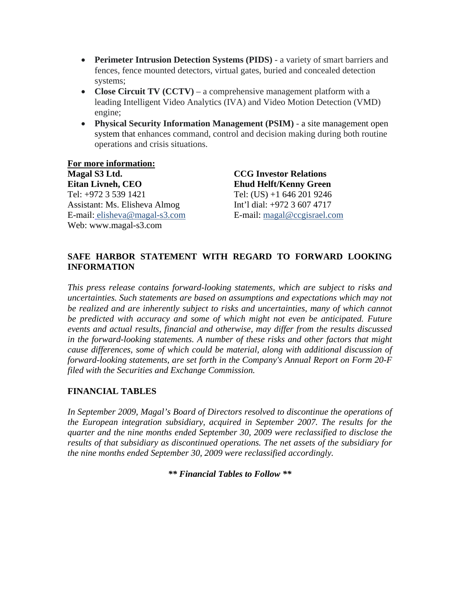- **Perimeter Intrusion Detection Systems (PIDS)** a variety of smart barriers and fences, fence mounted detectors, virtual gates, buried and concealed detection systems;
- **Close Circuit TV (CCTV)** a comprehensive management platform with a leading Intelligent Video Analytics (IVA) and Video Motion Detection (VMD) engine;
- **Physical Security Information Management (PSIM)** a site management open system that enhances command, control and decision making during both routine operations and crisis situations.

**For more information: Magal S3 Ltd. Eitan Livneh, CEO**  Tel: +972 3 539 1421 Assistant: Ms. Elisheva Almog E-mail: elisheva@magal-s3.com Web: www.magal-s3.com

**CCG Investor Relations Ehud Helft/Kenny Green** Tel: (US) +1 646 201 9246 Int'l dial: +972 3 607 4717 E-mail: magal@ccgisrael.com

## **SAFE HARBOR STATEMENT WITH REGARD TO FORWARD LOOKING INFORMATION**

*This press release contains forward-looking statements, which are subject to risks and uncertainties. Such statements are based on assumptions and expectations which may not be realized and are inherently subject to risks and uncertainties, many of which cannot be predicted with accuracy and some of which might not even be anticipated. Future events and actual results, financial and otherwise, may differ from the results discussed in the forward-looking statements. A number of these risks and other factors that might cause differences, some of which could be material, along with additional discussion of forward-looking statements, are set forth in the Company's Annual Report on Form 20-F filed with the Securities and Exchange Commission.* 

## **FINANCIAL TABLES**

*In September 2009, Magal's Board of Directors resolved to discontinue the operations of the European integration subsidiary, acquired in September 2007. The results for the quarter and the nine months ended September 30, 2009 were reclassified to disclose the results of that subsidiary as discontinued operations. The net assets of the subsidiary for the nine months ended September 30, 2009 were reclassified accordingly.* 

*\*\* Financial Tables to Follow \*\**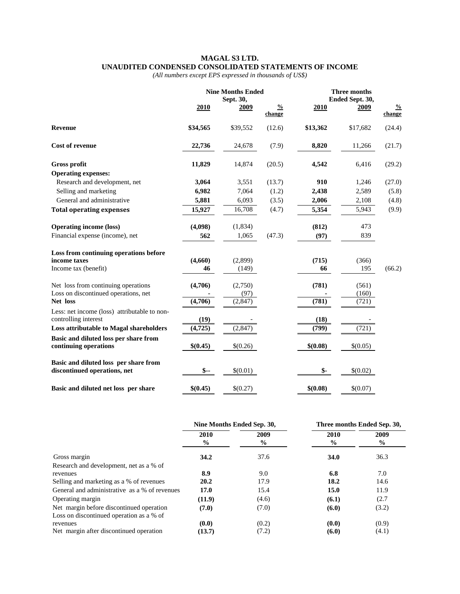#### **MAGAL S3 LTD. UNAUDITED CONDENSED CONSOLIDATED STATEMENTS OF INCOME**

*(All numbers except EPS expressed in thousands of US\$)* 

|                                                                       | <b>Nine Months Ended</b><br>Sept. 30, |          |                         | <b>Three months</b><br>Ended Sept. 30, |             |                         |
|-----------------------------------------------------------------------|---------------------------------------|----------|-------------------------|----------------------------------------|-------------|-------------------------|
|                                                                       | 2010                                  | 2009     | $\frac{0}{2}$<br>change | 2010                                   | <u>2009</u> | $\frac{0}{2}$<br>change |
| <b>Revenue</b>                                                        | \$34,565                              | \$39,552 | (12.6)                  | \$13,362                               | \$17,682    | (24.4)                  |
| <b>Cost of revenue</b>                                                | 22,736                                | 24,678   | (7.9)                   | 8,820                                  | 11,266      | (21.7)                  |
| <b>Gross profit</b>                                                   | 11,829                                | 14,874   | (20.5)                  | 4,542                                  | 6,416       | (29.2)                  |
| <b>Operating expenses:</b>                                            |                                       |          |                         |                                        |             |                         |
| Research and development, net                                         | 3,064                                 | 3,551    | (13.7)                  | 910                                    | 1,246       | (27.0)                  |
| Selling and marketing                                                 | 6,982                                 | 7,064    | (1.2)                   | 2,438                                  | 2,589       | (5.8)                   |
| General and administrative                                            | 5,881                                 | 6,093    | (3.5)                   | 2,006                                  | 2,108       | (4.8)                   |
| <b>Total operating expenses</b>                                       | 15,927                                | 16,708   | (4.7)                   | 5,354                                  | 5,943       | (9.9)                   |
| <b>Operating income (loss)</b>                                        | (4,098)                               | (1,834)  |                         | (812)                                  | 473         |                         |
| Financial expense (income), net                                       | 562                                   | 1,065    | (47.3)                  | (97)                                   | 839         |                         |
| Loss from continuing operations before                                |                                       |          |                         |                                        |             |                         |
| income taxes                                                          | (4,660)                               | (2,899)  |                         | (715)                                  | (366)       |                         |
| Income tax (benefit)                                                  | 46                                    | (149)    |                         | 66                                     | 195         | (66.2)                  |
| Net loss from continuing operations                                   | (4,706)                               | (2,750)  |                         | (781)                                  | (561)       |                         |
| Loss on discontinued operations, net                                  |                                       | (97)     |                         |                                        | (160)       |                         |
| Net loss                                                              | (4,706)                               | (2,847)  |                         | (781)                                  | (721)       |                         |
| Less: net income (loss) attributable to non-<br>controlling interest  | (19)                                  |          |                         | (18)                                   |             |                         |
| <b>Loss attributable to Magal shareholders</b>                        | (4, 725)                              | (2, 847) |                         | (799)                                  | (721)       |                         |
| Basic and diluted loss per share from                                 |                                       |          |                         |                                        |             |                         |
| continuing operations                                                 | \$(0.45)                              | \$(0.26) |                         | \$(0.08)                               | \$(0.05)    |                         |
| Basic and diluted loss per share from<br>discontinued operations, net | $$-$                                  | \$(0.01) |                         | \$-                                    | \$(0.02)    |                         |
| Basic and diluted net loss per share                                  | \$(0.45)                              | \$(0.27) |                         | \$(0.08)                               | \$(0.07)    |                         |

|                                               | Nine Months Ended Sep. 30, |                       | Three months Ended Sep. 30, |              |  |
|-----------------------------------------------|----------------------------|-----------------------|-----------------------------|--------------|--|
|                                               | 2010<br>$\frac{6}{10}$     | 2009<br>$\frac{6}{9}$ | 2010<br>$\frac{0}{0}$       | 2009<br>$\%$ |  |
| Gross margin                                  | 34.2                       | 37.6                  | <b>34.0</b>                 | 36.3         |  |
| Research and development, net as a % of       |                            |                       |                             |              |  |
| revenues                                      | 8.9                        | 9.0                   | 6.8                         | 7.0          |  |
| Selling and marketing as a % of revenues      | 20.2                       | 17.9                  | 18.2                        | 14.6         |  |
| General and administrative as a % of revenues | 17.0                       | 15.4                  | 15.0                        | 11.9         |  |
| Operating margin                              | (11.9)                     | (4.6)                 | (6.1)                       | (2.7)        |  |
| Net margin before discontinued operation      | (7.0)                      | (7.0)                 | (6.0)                       | (3.2)        |  |
| Loss on discontinued operation as a % of      |                            |                       |                             |              |  |
| revenues                                      | (0.0)                      | (0.2)                 | (0.0)                       | (0.9)        |  |
| Net margin after discontinued operation       | (13.7)                     | (7.2)                 | (6.0)                       | (4.1)        |  |